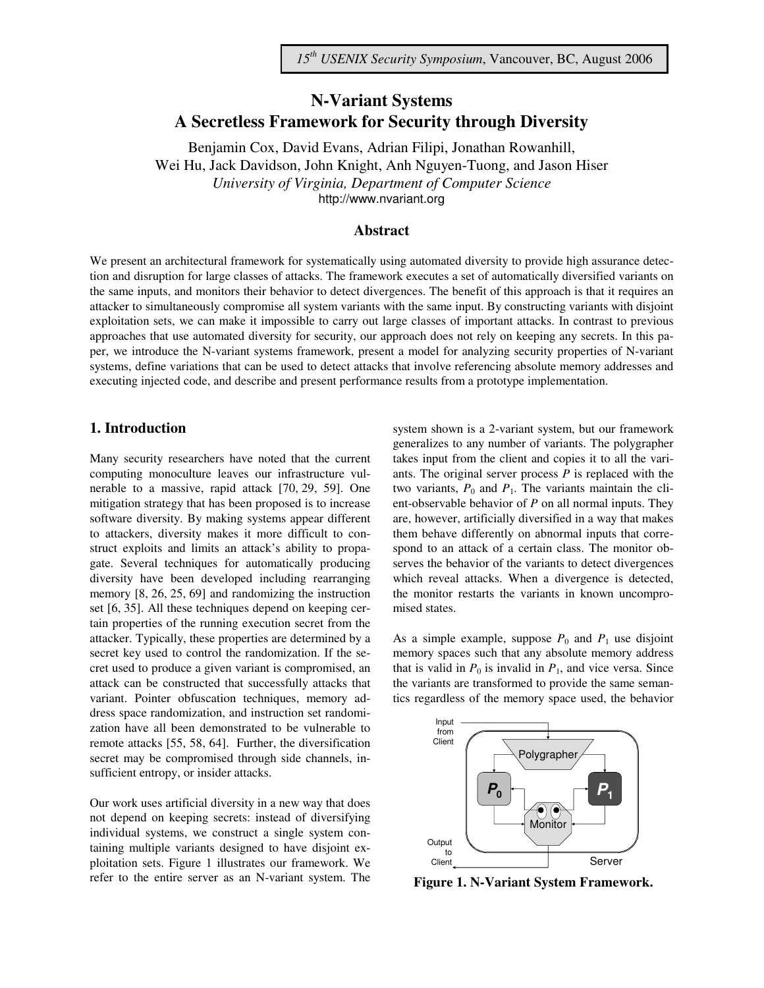# **N-Variant Systems A Secretless Framework for Security through Diversity**

Benjamin Cox, David Evans, Adrian Filipi, Jonathan Rowanhill, Wei Hu, Jack Davidson, John Knight, Anh Nguyen-Tuong, and Jason Hiser *University of Virginia, Department of Computer Science*  http://www.nvariant.org

#### **Abstract**

We present an architectural framework for systematically using automated diversity to provide high assurance detection and disruption for large classes of attacks. The framework executes a set of automatically diversified variants on the same inputs, and monitors their behavior to detect divergences. The benefit of this approach is that it requires an attacker to simultaneously compromise all system variants with the same input. By constructing variants with disjoint exploitation sets, we can make it impossible to carry out large classes of important attacks. In contrast to previous approaches that use automated diversity for security, our approach does not rely on keeping any secrets. In this paper, we introduce the N-variant systems framework, present a model for analyzing security properties of N-variant systems, define variations that can be used to detect attacks that involve referencing absolute memory addresses and executing injected code, and describe and present performance results from a prototype implementation.

#### **1. Introduction**

Many security researchers have noted that the current computing monoculture leaves our infrastructure vulnerable to a massive, rapid attack [70, 29, 59]. One mitigation strategy that has been proposed is to increase software diversity. By making systems appear different to attackers, diversity makes it more difficult to construct exploits and limits an attack's ability to propagate. Several techniques for automatically producing diversity have been developed including rearranging memory [8, 26, 25, 69] and randomizing the instruction set [6, 35]. All these techniques depend on keeping certain properties of the running execution secret from the attacker. Typically, these properties are determined by a secret key used to control the randomization. If the secret used to produce a given variant is compromised, an attack can be constructed that successfully attacks that variant. Pointer obfuscation techniques, memory address space randomization, and instruction set randomization have all been demonstrated to be vulnerable to remote attacks [55, 58, 64]. Further, the diversification secret may be compromised through side channels, insufficient entropy, or insider attacks.

Our work uses artificial diversity in a new way that does not depend on keeping secrets: instead of diversifying individual systems, we construct a single system containing multiple variants designed to have disjoint exploitation sets. Figure 1 illustrates our framework. We refer to the entire server as an N-variant system. The system shown is a 2-variant system, but our framework generalizes to any number of variants. The polygrapher takes input from the client and copies it to all the variants. The original server process *P* is replaced with the two variants,  $P_0$  and  $P_1$ . The variants maintain the client-observable behavior of *P* on all normal inputs. They are, however, artificially diversified in a way that makes them behave differently on abnormal inputs that correspond to an attack of a certain class. The monitor observes the behavior of the variants to detect divergences which reveal attacks. When a divergence is detected, the monitor restarts the variants in known uncompromised states.

As a simple example, suppose  $P_0$  and  $P_1$  use disjoint memory spaces such that any absolute memory address that is valid in  $P_0$  is invalid in  $P_1$ , and vice versa. Since the variants are transformed to provide the same semantics regardless of the memory space used, the behavior



**Figure 1. N-Variant System Framework.**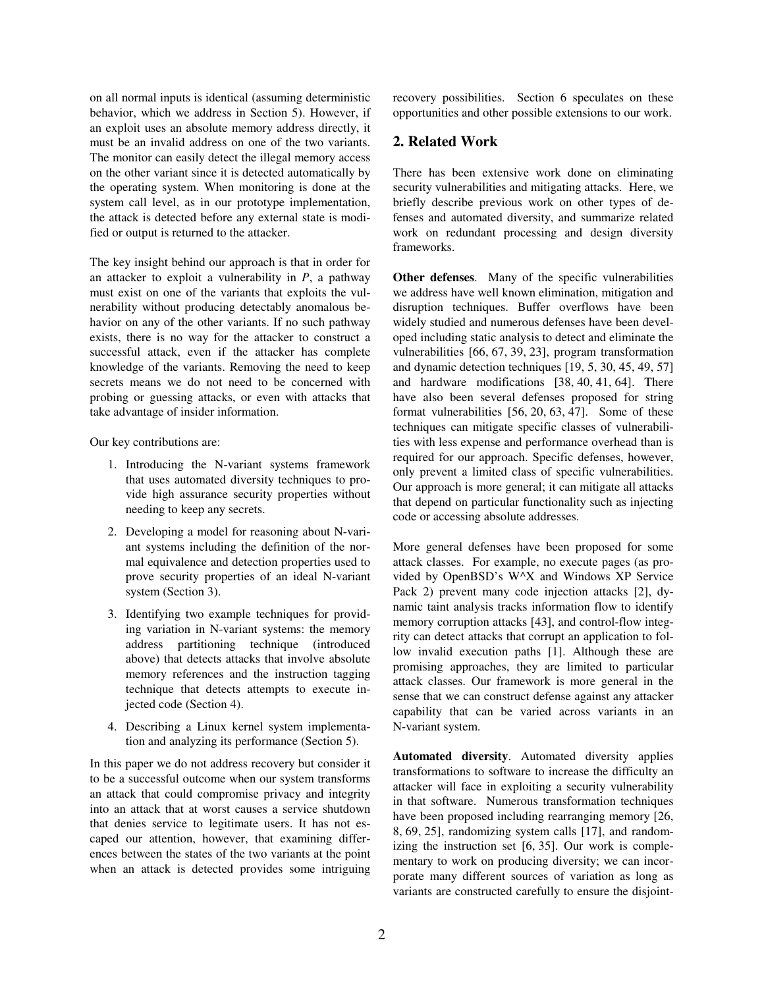on all normal inputs is identical (assuming deterministic behavior, which we address in Section 5). However, if an exploit uses an absolute memory address directly, it must be an invalid address on one of the two variants. The monitor can easily detect the illegal memory access on the other variant since it is detected automatically by the operating system. When monitoring is done at the system call level, as in our prototype implementation, the attack is detected before any external state is modified or output is returned to the attacker.

The key insight behind our approach is that in order for an attacker to exploit a vulnerability in *P*, a pathway must exist on one of the variants that exploits the vulnerability without producing detectably anomalous behavior on any of the other variants. If no such pathway exists, there is no way for the attacker to construct a successful attack, even if the attacker has complete knowledge of the variants. Removing the need to keep secrets means we do not need to be concerned with probing or guessing attacks, or even with attacks that take advantage of insider information.

Our key contributions are:

- 1. Introducing the N-variant systems framework that uses automated diversity techniques to provide high assurance security properties without needing to keep any secrets.
- 2. Developing a model for reasoning about N-variant systems including the definition of the normal equivalence and detection properties used to prove security properties of an ideal N-variant system (Section 3).
- 3. Identifying two example techniques for providing variation in N-variant systems: the memory address partitioning technique (introduced above) that detects attacks that involve absolute memory references and the instruction tagging technique that detects attempts to execute injected code (Section 4).
- 4. Describing a Linux kernel system implementation and analyzing its performance (Section 5).

In this paper we do not address recovery but consider it to be a successful outcome when our system transforms an attack that could compromise privacy and integrity into an attack that at worst causes a service shutdown that denies service to legitimate users. It has not escaped our attention, however, that examining differences between the states of the two variants at the point when an attack is detected provides some intriguing recovery possibilities. Section 6 speculates on these opportunities and other possible extensions to our work.

#### **2. Related Work**

There has been extensive work done on eliminating security vulnerabilities and mitigating attacks. Here, we briefly describe previous work on other types of defenses and automated diversity, and summarize related work on redundant processing and design diversity frameworks.

**Other defenses**. Many of the specific vulnerabilities we address have well known elimination, mitigation and disruption techniques. Buffer overflows have been widely studied and numerous defenses have been developed including static analysis to detect and eliminate the vulnerabilities [66, 67, 39, 23], program transformation and dynamic detection techniques [19, 5, 30, 45, 49, 57] and hardware modifications [38, 40, 41, 64]. There have also been several defenses proposed for string format vulnerabilities [56, 20, 63, 47]. Some of these techniques can mitigate specific classes of vulnerabilities with less expense and performance overhead than is required for our approach. Specific defenses, however, only prevent a limited class of specific vulnerabilities. Our approach is more general; it can mitigate all attacks that depend on particular functionality such as injecting code or accessing absolute addresses.

More general defenses have been proposed for some attack classes. For example, no execute pages (as provided by OpenBSD's W^X and Windows XP Service Pack 2) prevent many code injection attacks [2], dynamic taint analysis tracks information flow to identify memory corruption attacks [43], and control-flow integrity can detect attacks that corrupt an application to follow invalid execution paths [1]. Although these are promising approaches, they are limited to particular attack classes. Our framework is more general in the sense that we can construct defense against any attacker capability that can be varied across variants in an N-variant system.

**Automated diversity**. Automated diversity applies transformations to software to increase the difficulty an attacker will face in exploiting a security vulnerability in that software. Numerous transformation techniques have been proposed including rearranging memory [26, 8, 69, 25], randomizing system calls [17], and randomizing the instruction set [6, 35]. Our work is complementary to work on producing diversity; we can incorporate many different sources of variation as long as variants are constructed carefully to ensure the disjoint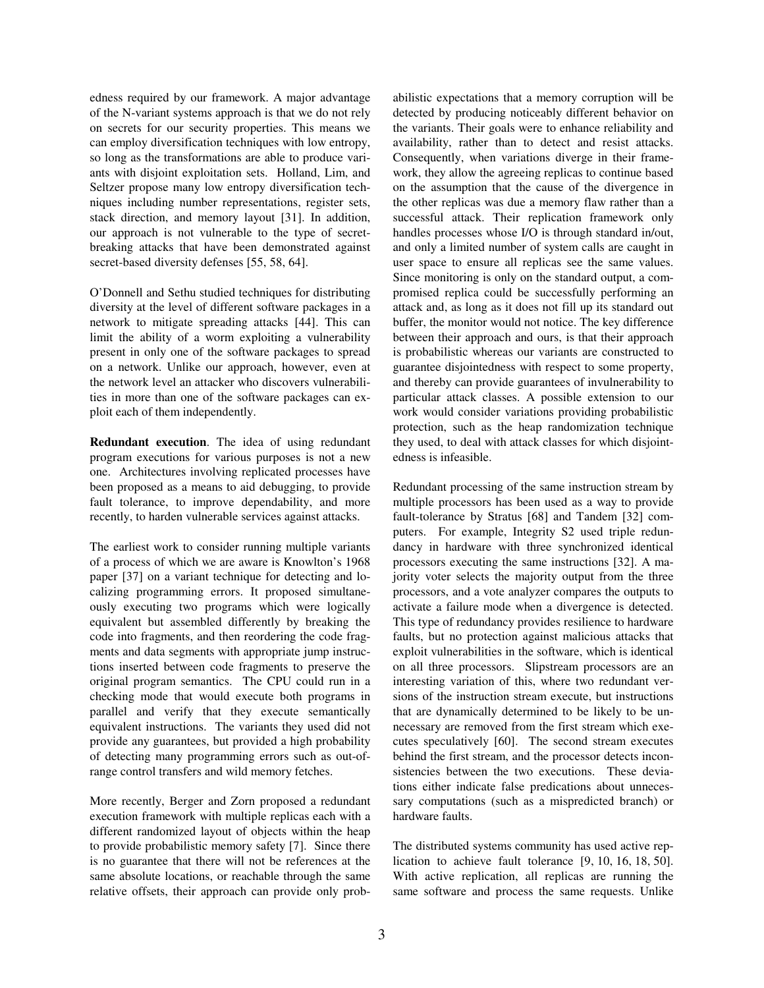edness required by our framework. A major advantage of the N-variant systems approach is that we do not rely on secrets for our security properties. This means we can employ diversification techniques with low entropy, so long as the transformations are able to produce variants with disjoint exploitation sets. Holland, Lim, and Seltzer propose many low entropy diversification techniques including number representations, register sets, stack direction, and memory layout [31]. In addition, our approach is not vulnerable to the type of secretbreaking attacks that have been demonstrated against secret-based diversity defenses [55, 58, 64].

O'Donnell and Sethu studied techniques for distributing diversity at the level of different software packages in a network to mitigate spreading attacks [44]. This can limit the ability of a worm exploiting a vulnerability present in only one of the software packages to spread on a network. Unlike our approach, however, even at the network level an attacker who discovers vulnerabilities in more than one of the software packages can exploit each of them independently.

**Redundant execution**. The idea of using redundant program executions for various purposes is not a new one. Architectures involving replicated processes have been proposed as a means to aid debugging, to provide fault tolerance, to improve dependability, and more recently, to harden vulnerable services against attacks.

The earliest work to consider running multiple variants of a process of which we are aware is Knowlton's 1968 paper [37] on a variant technique for detecting and localizing programming errors. It proposed simultaneously executing two programs which were logically equivalent but assembled differently by breaking the code into fragments, and then reordering the code fragments and data segments with appropriate jump instructions inserted between code fragments to preserve the original program semantics. The CPU could run in a checking mode that would execute both programs in parallel and verify that they execute semantically equivalent instructions. The variants they used did not provide any guarantees, but provided a high probability of detecting many programming errors such as out-ofrange control transfers and wild memory fetches.

More recently, Berger and Zorn proposed a redundant execution framework with multiple replicas each with a different randomized layout of objects within the heap to provide probabilistic memory safety [7]. Since there is no guarantee that there will not be references at the same absolute locations, or reachable through the same relative offsets, their approach can provide only probabilistic expectations that a memory corruption will be detected by producing noticeably different behavior on the variants. Their goals were to enhance reliability and availability, rather than to detect and resist attacks. Consequently, when variations diverge in their framework, they allow the agreeing replicas to continue based on the assumption that the cause of the divergence in the other replicas was due a memory flaw rather than a successful attack. Their replication framework only handles processes whose I/O is through standard in/out, and only a limited number of system calls are caught in user space to ensure all replicas see the same values. Since monitoring is only on the standard output, a compromised replica could be successfully performing an attack and, as long as it does not fill up its standard out buffer, the monitor would not notice. The key difference between their approach and ours, is that their approach is probabilistic whereas our variants are constructed to guarantee disjointedness with respect to some property, and thereby can provide guarantees of invulnerability to particular attack classes. A possible extension to our work would consider variations providing probabilistic protection, such as the heap randomization technique they used, to deal with attack classes for which disjointedness is infeasible.

Redundant processing of the same instruction stream by multiple processors has been used as a way to provide fault-tolerance by Stratus [68] and Tandem [32] computers. For example, Integrity S2 used triple redundancy in hardware with three synchronized identical processors executing the same instructions [32]. A majority voter selects the majority output from the three processors, and a vote analyzer compares the outputs to activate a failure mode when a divergence is detected. This type of redundancy provides resilience to hardware faults, but no protection against malicious attacks that exploit vulnerabilities in the software, which is identical on all three processors. Slipstream processors are an interesting variation of this, where two redundant versions of the instruction stream execute, but instructions that are dynamically determined to be likely to be unnecessary are removed from the first stream which executes speculatively [60]. The second stream executes behind the first stream, and the processor detects inconsistencies between the two executions. These deviations either indicate false predications about unnecessary computations (such as a mispredicted branch) or hardware faults.

The distributed systems community has used active replication to achieve fault tolerance [9, 10, 16, 18, 50]. With active replication, all replicas are running the same software and process the same requests. Unlike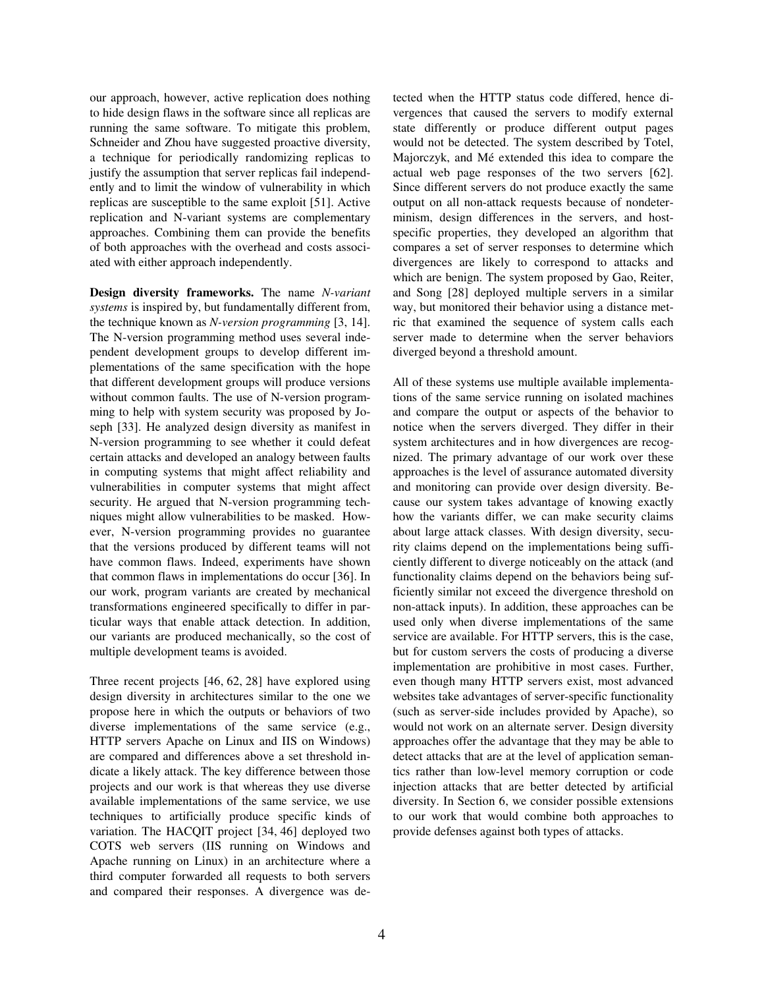our approach, however, active replication does nothing to hide design flaws in the software since all replicas are running the same software. To mitigate this problem, Schneider and Zhou have suggested proactive diversity, a technique for periodically randomizing replicas to justify the assumption that server replicas fail independently and to limit the window of vulnerability in which replicas are susceptible to the same exploit [51]. Active replication and N-variant systems are complementary approaches. Combining them can provide the benefits of both approaches with the overhead and costs associated with either approach independently.

**Design diversity frameworks.** The name *N-variant systems* is inspired by, but fundamentally different from, the technique known as *N-version programming* [3, 14]. The N-version programming method uses several independent development groups to develop different implementations of the same specification with the hope that different development groups will produce versions without common faults. The use of N-version programming to help with system security was proposed by Joseph [33]. He analyzed design diversity as manifest in N-version programming to see whether it could defeat certain attacks and developed an analogy between faults in computing systems that might affect reliability and vulnerabilities in computer systems that might affect security. He argued that N-version programming techniques might allow vulnerabilities to be masked. However, N-version programming provides no guarantee that the versions produced by different teams will not have common flaws. Indeed, experiments have shown that common flaws in implementations do occur [36]. In our work, program variants are created by mechanical transformations engineered specifically to differ in particular ways that enable attack detection. In addition, our variants are produced mechanically, so the cost of multiple development teams is avoided.

Three recent projects [46, 62, 28] have explored using design diversity in architectures similar to the one we propose here in which the outputs or behaviors of two diverse implementations of the same service (e.g., HTTP servers Apache on Linux and IIS on Windows) are compared and differences above a set threshold indicate a likely attack. The key difference between those projects and our work is that whereas they use diverse available implementations of the same service, we use techniques to artificially produce specific kinds of variation. The HACQIT project [34, 46] deployed two COTS web servers (IIS running on Windows and Apache running on Linux) in an architecture where a third computer forwarded all requests to both servers and compared their responses. A divergence was detected when the HTTP status code differed, hence divergences that caused the servers to modify external state differently or produce different output pages would not be detected. The system described by Totel, Majorczyk, and Mé extended this idea to compare the actual web page responses of the two servers [62]. Since different servers do not produce exactly the same output on all non-attack requests because of nondeterminism, design differences in the servers, and hostspecific properties, they developed an algorithm that compares a set of server responses to determine which divergences are likely to correspond to attacks and which are benign. The system proposed by Gao, Reiter, and Song [28] deployed multiple servers in a similar way, but monitored their behavior using a distance metric that examined the sequence of system calls each server made to determine when the server behaviors diverged beyond a threshold amount.

All of these systems use multiple available implementations of the same service running on isolated machines and compare the output or aspects of the behavior to notice when the servers diverged. They differ in their system architectures and in how divergences are recognized. The primary advantage of our work over these approaches is the level of assurance automated diversity and monitoring can provide over design diversity. Because our system takes advantage of knowing exactly how the variants differ, we can make security claims about large attack classes. With design diversity, security claims depend on the implementations being sufficiently different to diverge noticeably on the attack (and functionality claims depend on the behaviors being sufficiently similar not exceed the divergence threshold on non-attack inputs). In addition, these approaches can be used only when diverse implementations of the same service are available. For HTTP servers, this is the case, but for custom servers the costs of producing a diverse implementation are prohibitive in most cases. Further, even though many HTTP servers exist, most advanced websites take advantages of server-specific functionality (such as server-side includes provided by Apache), so would not work on an alternate server. Design diversity approaches offer the advantage that they may be able to detect attacks that are at the level of application semantics rather than low-level memory corruption or code injection attacks that are better detected by artificial diversity. In Section 6, we consider possible extensions to our work that would combine both approaches to provide defenses against both types of attacks.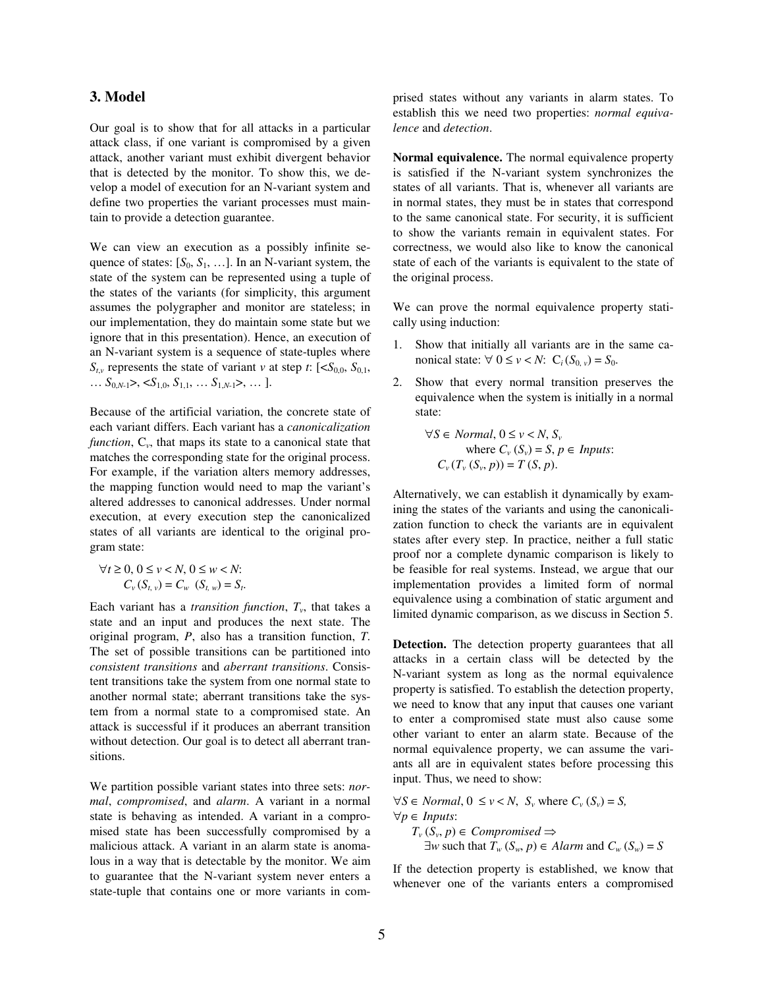### **3. Model**

Our goal is to show that for all attacks in a particular attack class, if one variant is compromised by a given attack, another variant must exhibit divergent behavior that is detected by the monitor. To show this, we develop a model of execution for an N-variant system and define two properties the variant processes must maintain to provide a detection guarantee.

We can view an execution as a possibly infinite sequence of states:  $[S_0, S_1, \ldots]$ . In an N-variant system, the state of the system can be represented using a tuple of the states of the variants (for simplicity, this argument assumes the polygrapher and monitor are stateless; in our implementation, they do maintain some state but we ignore that in this presentation). Hence, an execution of an N-variant system is a sequence of state-tuples where  $S_{t,v}$  represents the state of variant *v* at step *t*: [< $S_{0,0}$ ,  $S_{0,1}$ , … *S*0,*N*-1>, <*S*1,0, *S*1,1, … *S*1,*N*-1>, … ].

Because of the artificial variation, the concrete state of each variant differs. Each variant has a *canonicalization function*, C*<sup>v</sup>* , that maps its state to a canonical state that matches the corresponding state for the original process. For example, if the variation alters memory addresses, the mapping function would need to map the variant's altered addresses to canonical addresses. Under normal execution, at every execution step the canonicalized states of all variants are identical to the original program state:

$$
\forall t \ge 0, \ 0 \le v < N, \ 0 \le w < N: \\
C_v \ (S_{t,v}) = C_w \ (S_{t,w}) = S_t.
$$

Each variant has a *transition function*,  $T_v$ , that takes a state and an input and produces the next state. The original program, *P*, also has a transition function, *T*. The set of possible transitions can be partitioned into *consistent transitions* and *aberrant transitions*. Consistent transitions take the system from one normal state to another normal state; aberrant transitions take the system from a normal state to a compromised state. An attack is successful if it produces an aberrant transition without detection. Our goal is to detect all aberrant transitions.

We partition possible variant states into three sets: *normal*, *compromised*, and *alarm*. A variant in a normal state is behaving as intended. A variant in a compromised state has been successfully compromised by a malicious attack. A variant in an alarm state is anomalous in a way that is detectable by the monitor. We aim to guarantee that the N-variant system never enters a state-tuple that contains one or more variants in comprised states without any variants in alarm states. To establish this we need two properties: *normal equivalence* and *detection*.

**Normal equivalence.** The normal equivalence property is satisfied if the N-variant system synchronizes the states of all variants. That is, whenever all variants are in normal states, they must be in states that correspond to the same canonical state. For security, it is sufficient to show the variants remain in equivalent states. For correctness, we would also like to know the canonical state of each of the variants is equivalent to the state of the original process.

We can prove the normal equivalence property statically using induction:

- 1. Show that initially all variants are in the same canonical state:  $∀ 0 ≤ v < N$ :  $C_i(S_{0, v}) = S_0$ .
- 2. Show that every normal transition preserves the equivalence when the system is initially in a normal state:

 $\forall S \in Normal, 0 \le v < N, S_v$ *x* where  $C_v$   $(S_v) = S, p \in *InputStream*:$  $C_v(T_v(S_v, p)) = T(S, p).$ 

Alternatively, we can establish it dynamically by examining the states of the variants and using the canonicalization function to check the variants are in equivalent states after every step. In practice, neither a full static proof nor a complete dynamic comparison is likely to be feasible for real systems. Instead, we argue that our implementation provides a limited form of normal equivalence using a combination of static argument and limited dynamic comparison, as we discuss in Section 5.

**Detection.** The detection property guarantees that all attacks in a certain class will be detected by the N-variant system as long as the normal equivalence property is satisfied. To establish the detection property, we need to know that any input that causes one variant to enter a compromised state must also cause some other variant to enter an alarm state. Because of the normal equivalence property, we can assume the variants all are in equivalent states before processing this input. Thus, we need to show:

 $∀S ∈ Normal$ ,  $0 ≤ v < N$ ,  $S_v$  where  $C_v(S_v) = S$ , ∀*p* ∈ *Inputs*: *T*<sup>*v*</sup> (*S<sup><i>v*</sup></sub>, *p*) ∈ *Compromised* ⇒  $\exists w$  such that  $T_w$  ( $S_w$ ,  $p$ )  $\in$  *Alarm* and  $C_w$  ( $S_w$ ) = *S* 

If the detection property is established, we know that whenever one of the variants enters a compromised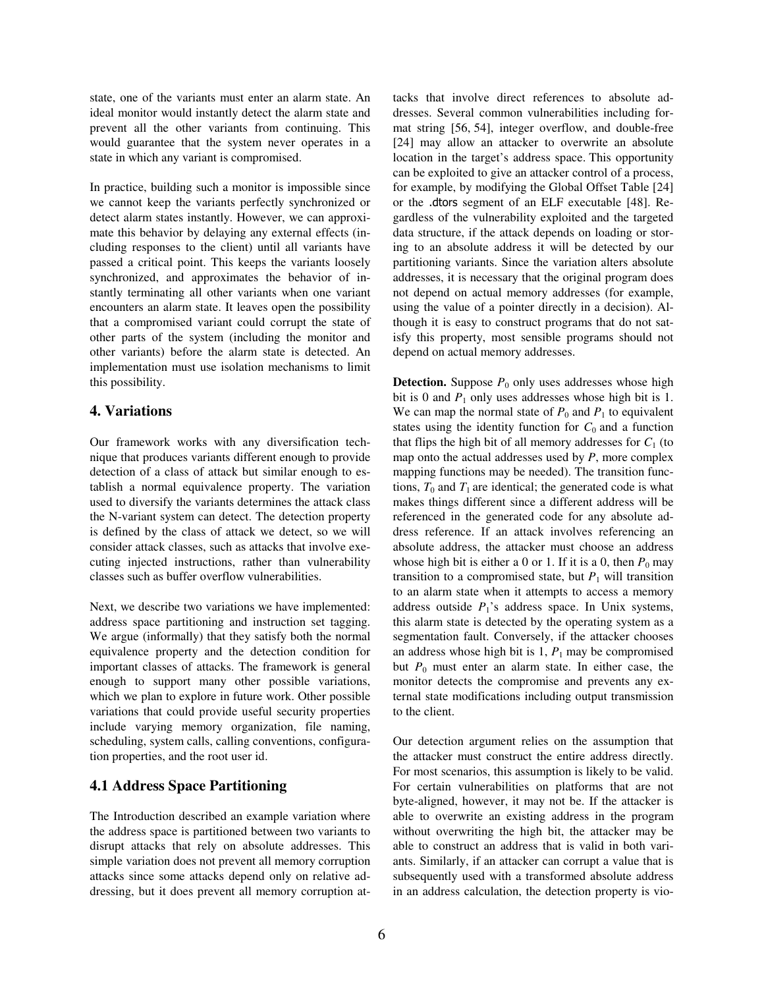state, one of the variants must enter an alarm state. An ideal monitor would instantly detect the alarm state and prevent all the other variants from continuing. This would guarantee that the system never operates in a state in which any variant is compromised.

In practice, building such a monitor is impossible since we cannot keep the variants perfectly synchronized or detect alarm states instantly. However, we can approximate this behavior by delaying any external effects (including responses to the client) until all variants have passed a critical point. This keeps the variants loosely synchronized, and approximates the behavior of instantly terminating all other variants when one variant encounters an alarm state. It leaves open the possibility that a compromised variant could corrupt the state of other parts of the system (including the monitor and other variants) before the alarm state is detected. An implementation must use isolation mechanisms to limit this possibility.

# **4. Variations**

Our framework works with any diversification technique that produces variants different enough to provide detection of a class of attack but similar enough to establish a normal equivalence property. The variation used to diversify the variants determines the attack class the N-variant system can detect. The detection property is defined by the class of attack we detect, so we will consider attack classes, such as attacks that involve executing injected instructions, rather than vulnerability classes such as buffer overflow vulnerabilities.

Next, we describe two variations we have implemented: address space partitioning and instruction set tagging. We argue (informally) that they satisfy both the normal equivalence property and the detection condition for important classes of attacks. The framework is general enough to support many other possible variations, which we plan to explore in future work. Other possible variations that could provide useful security properties include varying memory organization, file naming, scheduling, system calls, calling conventions, configuration properties, and the root user id.

# **4.1 Address Space Partitioning**

The Introduction described an example variation where the address space is partitioned between two variants to disrupt attacks that rely on absolute addresses. This simple variation does not prevent all memory corruption attacks since some attacks depend only on relative addressing, but it does prevent all memory corruption attacks that involve direct references to absolute addresses. Several common vulnerabilities including format string [56, 54], integer overflow, and double-free [24] may allow an attacker to overwrite an absolute location in the target's address space. This opportunity can be exploited to give an attacker control of a process, for example, by modifying the Global Offset Table [24] or the .dtors segment of an ELF executable [48]. Regardless of the vulnerability exploited and the targeted data structure, if the attack depends on loading or storing to an absolute address it will be detected by our partitioning variants. Since the variation alters absolute addresses, it is necessary that the original program does not depend on actual memory addresses (for example, using the value of a pointer directly in a decision). Although it is easy to construct programs that do not satisfy this property, most sensible programs should not depend on actual memory addresses.

**Detection.** Suppose  $P_0$  only uses addresses whose high bit is 0 and  $P_1$  only uses addresses whose high bit is 1. We can map the normal state of  $P_0$  and  $P_1$  to equivalent states using the identity function for  $C_0$  and a function that flips the high bit of all memory addresses for  $C_1$  (to map onto the actual addresses used by *P*, more complex mapping functions may be needed). The transition functions,  $T_0$  and  $T_1$  are identical; the generated code is what makes things different since a different address will be referenced in the generated code for any absolute address reference. If an attack involves referencing an absolute address, the attacker must choose an address whose high bit is either a 0 or 1. If it is a 0, then  $P_0$  may transition to a compromised state, but  $P_1$  will transition to an alarm state when it attempts to access a memory address outside  $P_1$ 's address space. In Unix systems, this alarm state is detected by the operating system as a segmentation fault. Conversely, if the attacker chooses an address whose high bit is  $1, P_1$  may be compromised but  $P_0$  must enter an alarm state. In either case, the monitor detects the compromise and prevents any external state modifications including output transmission to the client.

Our detection argument relies on the assumption that the attacker must construct the entire address directly. For most scenarios, this assumption is likely to be valid. For certain vulnerabilities on platforms that are not byte-aligned, however, it may not be. If the attacker is able to overwrite an existing address in the program without overwriting the high bit, the attacker may be able to construct an address that is valid in both variants. Similarly, if an attacker can corrupt a value that is subsequently used with a transformed absolute address in an address calculation, the detection property is vio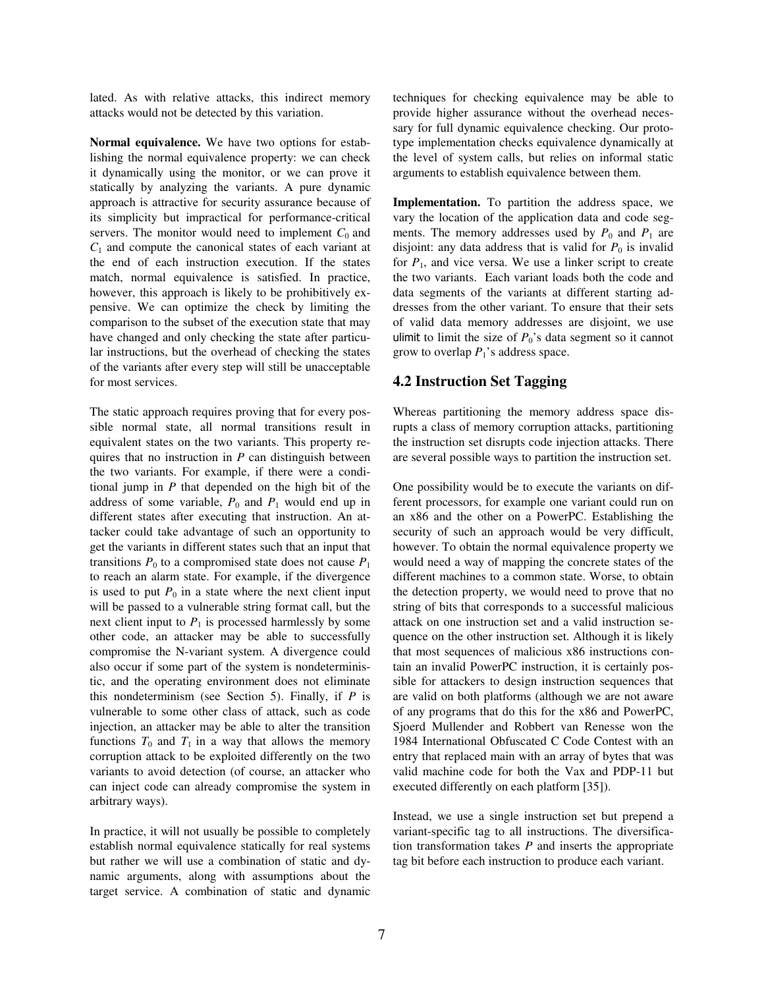lated. As with relative attacks, this indirect memory attacks would not be detected by this variation.

**Normal equivalence.** We have two options for establishing the normal equivalence property: we can check it dynamically using the monitor, or we can prove it statically by analyzing the variants. A pure dynamic approach is attractive for security assurance because of its simplicity but impractical for performance-critical servers. The monitor would need to implement  $C_0$  and  $C_1$  and compute the canonical states of each variant at the end of each instruction execution. If the states match, normal equivalence is satisfied. In practice, however, this approach is likely to be prohibitively expensive. We can optimize the check by limiting the comparison to the subset of the execution state that may have changed and only checking the state after particular instructions, but the overhead of checking the states of the variants after every step will still be unacceptable for most services.

The static approach requires proving that for every possible normal state, all normal transitions result in equivalent states on the two variants. This property requires that no instruction in *P* can distinguish between the two variants. For example, if there were a conditional jump in *P* that depended on the high bit of the address of some variable,  $P_0$  and  $P_1$  would end up in different states after executing that instruction. An attacker could take advantage of such an opportunity to get the variants in different states such that an input that transitions  $P_0$  to a compromised state does not cause  $P_1$ to reach an alarm state. For example, if the divergence is used to put  $P_0$  in a state where the next client input will be passed to a vulnerable string format call, but the next client input to  $P_1$  is processed harmlessly by some other code, an attacker may be able to successfully compromise the N-variant system. A divergence could also occur if some part of the system is nondeterministic, and the operating environment does not eliminate this nondeterminism (see Section 5). Finally, if *P* is vulnerable to some other class of attack, such as code injection, an attacker may be able to alter the transition functions  $T_0$  and  $T_1$  in a way that allows the memory corruption attack to be exploited differently on the two variants to avoid detection (of course, an attacker who can inject code can already compromise the system in arbitrary ways).

In practice, it will not usually be possible to completely establish normal equivalence statically for real systems but rather we will use a combination of static and dynamic arguments, along with assumptions about the target service. A combination of static and dynamic techniques for checking equivalence may be able to provide higher assurance without the overhead necessary for full dynamic equivalence checking. Our prototype implementation checks equivalence dynamically at the level of system calls, but relies on informal static arguments to establish equivalence between them.

**Implementation.** To partition the address space, we vary the location of the application data and code segments. The memory addresses used by  $P_0$  and  $P_1$  are disjoint: any data address that is valid for  $P_0$  is invalid for  $P_1$ , and vice versa. We use a linker script to create the two variants. Each variant loads both the code and data segments of the variants at different starting addresses from the other variant. To ensure that their sets of valid data memory addresses are disjoint, we use ulimit to limit the size of  $P_0$ 's data segment so it cannot grow to overlap  $P_1$ 's address space.

#### **4.2 Instruction Set Tagging**

Whereas partitioning the memory address space disrupts a class of memory corruption attacks, partitioning the instruction set disrupts code injection attacks. There are several possible ways to partition the instruction set.

One possibility would be to execute the variants on different processors, for example one variant could run on an x86 and the other on a PowerPC. Establishing the security of such an approach would be very difficult, however. To obtain the normal equivalence property we would need a way of mapping the concrete states of the different machines to a common state. Worse, to obtain the detection property, we would need to prove that no string of bits that corresponds to a successful malicious attack on one instruction set and a valid instruction sequence on the other instruction set. Although it is likely that most sequences of malicious x86 instructions contain an invalid PowerPC instruction, it is certainly possible for attackers to design instruction sequences that are valid on both platforms (although we are not aware of any programs that do this for the x86 and PowerPC, Sjoerd Mullender and Robbert van Renesse won the 1984 International Obfuscated C Code Contest with an entry that replaced main with an array of bytes that was valid machine code for both the Vax and PDP-11 but executed differently on each platform [35]).

Instead, we use a single instruction set but prepend a variant-specific tag to all instructions. The diversification transformation takes *P* and inserts the appropriate tag bit before each instruction to produce each variant.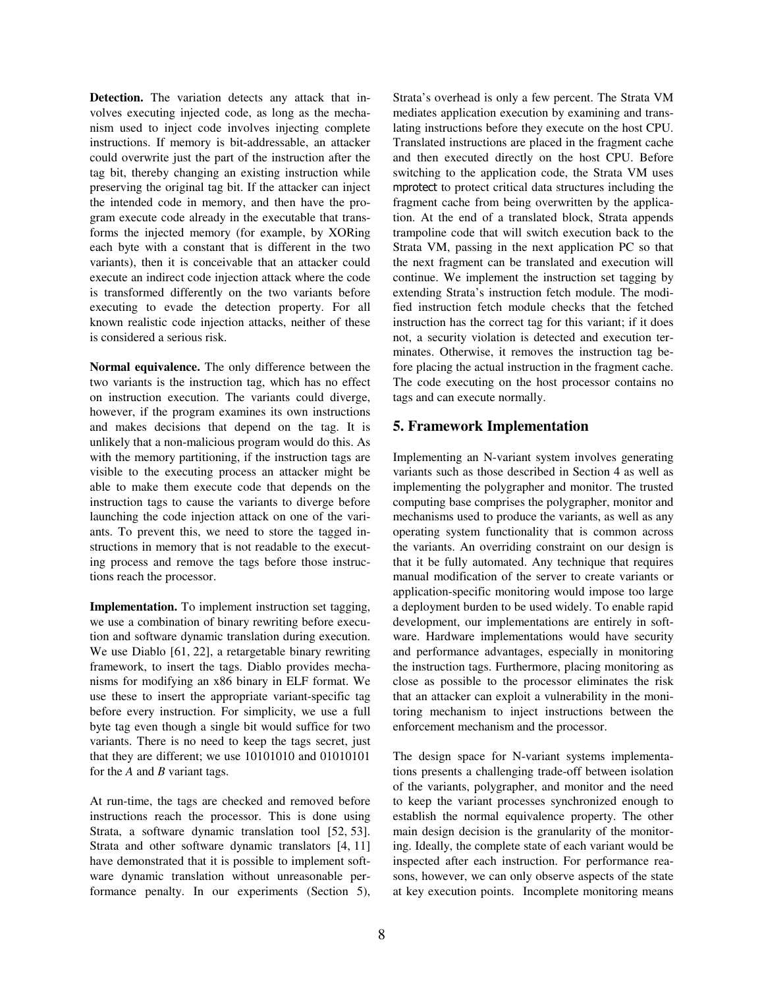**Detection.** The variation detects any attack that involves executing injected code, as long as the mechanism used to inject code involves injecting complete instructions. If memory is bit-addressable, an attacker could overwrite just the part of the instruction after the tag bit, thereby changing an existing instruction while preserving the original tag bit. If the attacker can inject the intended code in memory, and then have the program execute code already in the executable that transforms the injected memory (for example, by XORing each byte with a constant that is different in the two variants), then it is conceivable that an attacker could execute an indirect code injection attack where the code is transformed differently on the two variants before executing to evade the detection property. For all known realistic code injection attacks, neither of these is considered a serious risk.

**Normal equivalence.** The only difference between the two variants is the instruction tag, which has no effect on instruction execution. The variants could diverge, however, if the program examines its own instructions and makes decisions that depend on the tag. It is unlikely that a non-malicious program would do this. As with the memory partitioning, if the instruction tags are visible to the executing process an attacker might be able to make them execute code that depends on the instruction tags to cause the variants to diverge before launching the code injection attack on one of the variants. To prevent this, we need to store the tagged instructions in memory that is not readable to the executing process and remove the tags before those instructions reach the processor.

**Implementation.** To implement instruction set tagging, we use a combination of binary rewriting before execution and software dynamic translation during execution. We use Diablo [61, 22], a retargetable binary rewriting framework, to insert the tags. Diablo provides mechanisms for modifying an x86 binary in ELF format. We use these to insert the appropriate variant-specific tag before every instruction. For simplicity, we use a full byte tag even though a single bit would suffice for two variants. There is no need to keep the tags secret, just that they are different; we use 10101010 and 01010101 for the *A* and *B* variant tags.

At run-time, the tags are checked and removed before instructions reach the processor. This is done using Strata, a software dynamic translation tool [52, 53]. Strata and other software dynamic translators [4, 11] have demonstrated that it is possible to implement software dynamic translation without unreasonable performance penalty. In our experiments (Section 5), Strata's overhead is only a few percent. The Strata VM mediates application execution by examining and translating instructions before they execute on the host CPU. Translated instructions are placed in the fragment cache and then executed directly on the host CPU. Before switching to the application code, the Strata VM uses mprotect to protect critical data structures including the fragment cache from being overwritten by the application. At the end of a translated block, Strata appends trampoline code that will switch execution back to the Strata VM, passing in the next application PC so that the next fragment can be translated and execution will continue. We implement the instruction set tagging by extending Strata's instruction fetch module. The modified instruction fetch module checks that the fetched instruction has the correct tag for this variant; if it does not, a security violation is detected and execution terminates. Otherwise, it removes the instruction tag before placing the actual instruction in the fragment cache. The code executing on the host processor contains no tags and can execute normally.

# **5. Framework Implementation**

Implementing an N-variant system involves generating variants such as those described in Section 4 as well as implementing the polygrapher and monitor. The trusted computing base comprises the polygrapher, monitor and mechanisms used to produce the variants, as well as any operating system functionality that is common across the variants. An overriding constraint on our design is that it be fully automated. Any technique that requires manual modification of the server to create variants or application-specific monitoring would impose too large a deployment burden to be used widely. To enable rapid development, our implementations are entirely in software. Hardware implementations would have security and performance advantages, especially in monitoring the instruction tags. Furthermore, placing monitoring as close as possible to the processor eliminates the risk that an attacker can exploit a vulnerability in the monitoring mechanism to inject instructions between the enforcement mechanism and the processor.

The design space for N-variant systems implementations presents a challenging trade-off between isolation of the variants, polygrapher, and monitor and the need to keep the variant processes synchronized enough to establish the normal equivalence property. The other main design decision is the granularity of the monitoring. Ideally, the complete state of each variant would be inspected after each instruction. For performance reasons, however, we can only observe aspects of the state at key execution points. Incomplete monitoring means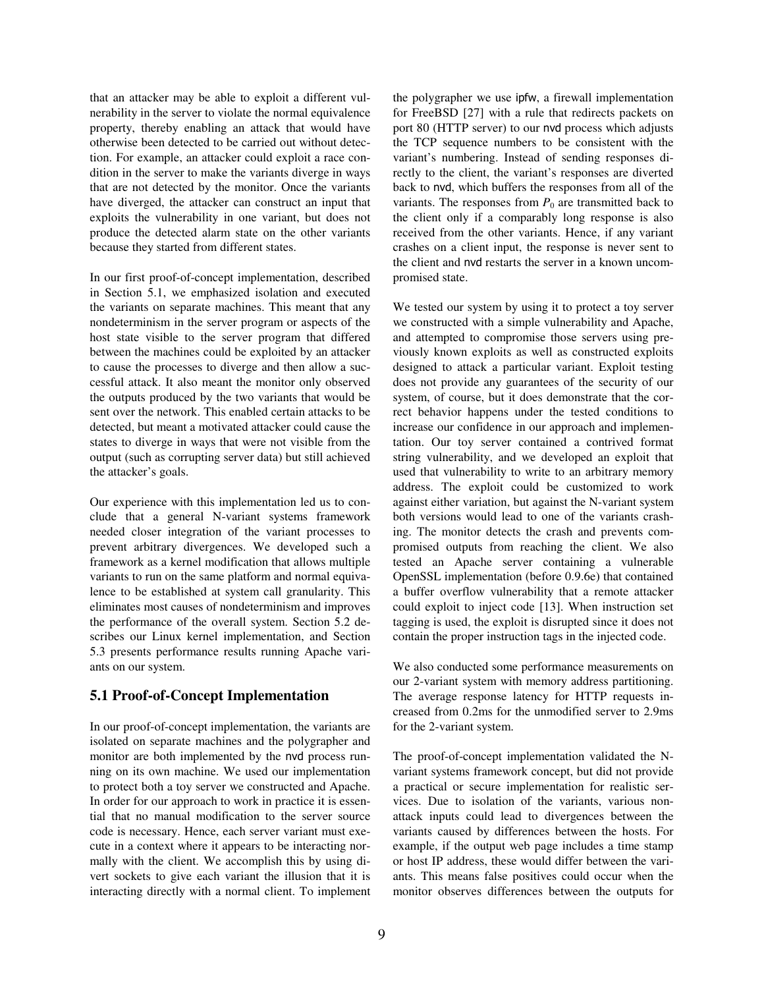that an attacker may be able to exploit a different vulnerability in the server to violate the normal equivalence property, thereby enabling an attack that would have otherwise been detected to be carried out without detection. For example, an attacker could exploit a race condition in the server to make the variants diverge in ways that are not detected by the monitor. Once the variants have diverged, the attacker can construct an input that exploits the vulnerability in one variant, but does not produce the detected alarm state on the other variants because they started from different states.

In our first proof-of-concept implementation, described in Section 5.1, we emphasized isolation and executed the variants on separate machines. This meant that any nondeterminism in the server program or aspects of the host state visible to the server program that differed between the machines could be exploited by an attacker to cause the processes to diverge and then allow a successful attack. It also meant the monitor only observed the outputs produced by the two variants that would be sent over the network. This enabled certain attacks to be detected, but meant a motivated attacker could cause the states to diverge in ways that were not visible from the output (such as corrupting server data) but still achieved the attacker's goals.

Our experience with this implementation led us to conclude that a general N-variant systems framework needed closer integration of the variant processes to prevent arbitrary divergences. We developed such a framework as a kernel modification that allows multiple variants to run on the same platform and normal equivalence to be established at system call granularity. This eliminates most causes of nondeterminism and improves the performance of the overall system. Section 5.2 describes our Linux kernel implementation, and Section 5.3 presents performance results running Apache variants on our system.

#### **5.1 Proof-of-Concept Implementation**

In our proof-of-concept implementation, the variants are isolated on separate machines and the polygrapher and monitor are both implemented by the nvd process running on its own machine. We used our implementation to protect both a toy server we constructed and Apache. In order for our approach to work in practice it is essential that no manual modification to the server source code is necessary. Hence, each server variant must execute in a context where it appears to be interacting normally with the client. We accomplish this by using divert sockets to give each variant the illusion that it is interacting directly with a normal client. To implement the polygrapher we use ipfw, a firewall implementation for FreeBSD [27] with a rule that redirects packets on port 80 (HTTP server) to our nvd process which adjusts the TCP sequence numbers to be consistent with the variant's numbering. Instead of sending responses directly to the client, the variant's responses are diverted back to nvd, which buffers the responses from all of the variants. The responses from  $P_0$  are transmitted back to the client only if a comparably long response is also received from the other variants. Hence, if any variant crashes on a client input, the response is never sent to the client and nvd restarts the server in a known uncompromised state.

We tested our system by using it to protect a toy server we constructed with a simple vulnerability and Apache, and attempted to compromise those servers using previously known exploits as well as constructed exploits designed to attack a particular variant. Exploit testing does not provide any guarantees of the security of our system, of course, but it does demonstrate that the correct behavior happens under the tested conditions to increase our confidence in our approach and implementation. Our toy server contained a contrived format string vulnerability, and we developed an exploit that used that vulnerability to write to an arbitrary memory address. The exploit could be customized to work against either variation, but against the N-variant system both versions would lead to one of the variants crashing. The monitor detects the crash and prevents compromised outputs from reaching the client. We also tested an Apache server containing a vulnerable OpenSSL implementation (before 0.9.6e) that contained a buffer overflow vulnerability that a remote attacker could exploit to inject code [13]. When instruction set tagging is used, the exploit is disrupted since it does not contain the proper instruction tags in the injected code.

We also conducted some performance measurements on our 2-variant system with memory address partitioning. The average response latency for HTTP requests increased from 0.2ms for the unmodified server to 2.9ms for the 2-variant system.

The proof-of-concept implementation validated the Nvariant systems framework concept, but did not provide a practical or secure implementation for realistic services. Due to isolation of the variants, various nonattack inputs could lead to divergences between the variants caused by differences between the hosts. For example, if the output web page includes a time stamp or host IP address, these would differ between the variants. This means false positives could occur when the monitor observes differences between the outputs for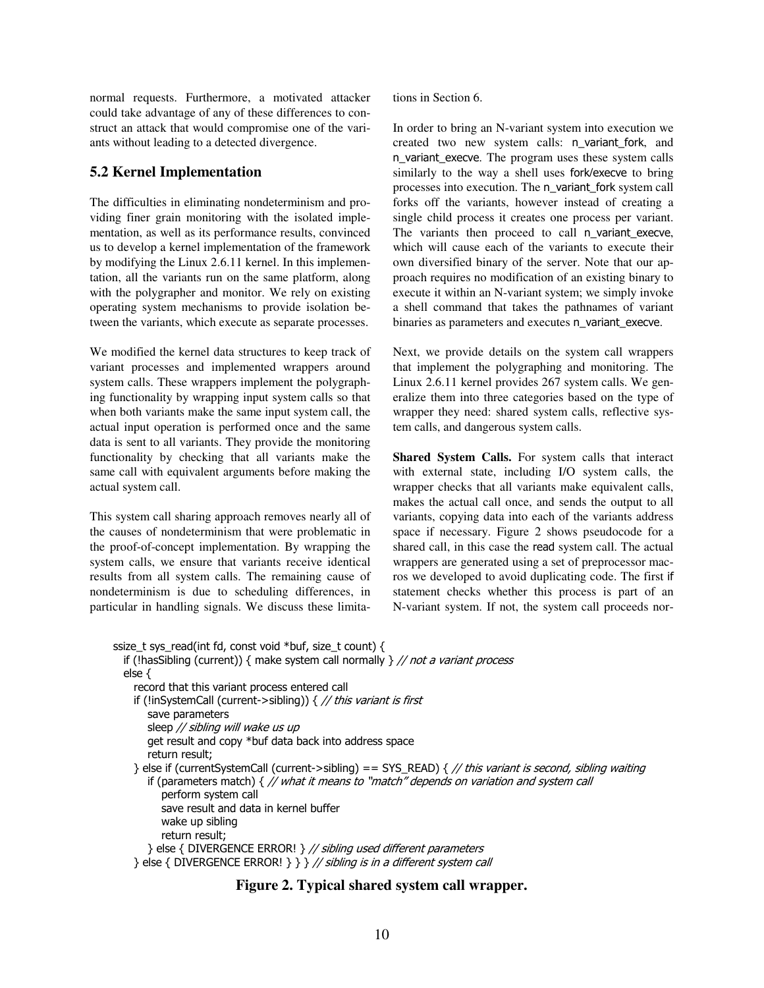normal requests. Furthermore, a motivated attacker could take advantage of any of these differences to construct an attack that would compromise one of the variants without leading to a detected divergence.

# **5.2 Kernel Implementation**

The difficulties in eliminating nondeterminism and providing finer grain monitoring with the isolated implementation, as well as its performance results, convinced us to develop a kernel implementation of the framework by modifying the Linux 2.6.11 kernel. In this implementation, all the variants run on the same platform, along with the polygrapher and monitor. We rely on existing operating system mechanisms to provide isolation between the variants, which execute as separate processes.

We modified the kernel data structures to keep track of variant processes and implemented wrappers around system calls. These wrappers implement the polygraphing functionality by wrapping input system calls so that when both variants make the same input system call, the actual input operation is performed once and the same data is sent to all variants. They provide the monitoring functionality by checking that all variants make the same call with equivalent arguments before making the actual system call.

This system call sharing approach removes nearly all of the causes of nondeterminism that were problematic in the proof-of-concept implementation. By wrapping the system calls, we ensure that variants receive identical results from all system calls. The remaining cause of nondeterminism is due to scheduling differences, in particular in handling signals. We discuss these limitations in Section 6.

In order to bring an N-variant system into execution we created two new system calls: n\_variant\_fork, and n\_variant\_execve. The program uses these system calls similarly to the way a shell uses fork/execve to bring processes into execution. The n\_variant\_fork system call forks off the variants, however instead of creating a single child process it creates one process per variant. The variants then proceed to call n\_variant\_execve, which will cause each of the variants to execute their own diversified binary of the server. Note that our approach requires no modification of an existing binary to execute it within an N-variant system; we simply invoke a shell command that takes the pathnames of variant binaries as parameters and executes n\_variant\_execve.

Next, we provide details on the system call wrappers that implement the polygraphing and monitoring. The Linux 2.6.11 kernel provides 267 system calls. We generalize them into three categories based on the type of wrapper they need: shared system calls, reflective system calls, and dangerous system calls.

**Shared System Calls.** For system calls that interact with external state, including I/O system calls, the wrapper checks that all variants make equivalent calls, makes the actual call once, and sends the output to all variants, copying data into each of the variants address space if necessary. Figure 2 shows pseudocode for a shared call, in this case the read system call. The actual wrappers are generated using a set of preprocessor macros we developed to avoid duplicating code. The first if statement checks whether this process is part of an N-variant system. If not, the system call proceeds nor-

```
ssize_t sys_read(int fd, const void *buf, size_t count) { 
 if (!hasSibling (current)) { make system call normally \} // not a variant process
   else { 
     record that this variant process entered call
    if (!inSystemCall (current->sibling)) \frac{1}{2} this variant is first
        save parameters 
       sleep // sibling will wake us up
        get result and copy *buf data back into address space 
        return result; 
     } else if (currentSystemCall (current->sibling) == SYS_READ) { // this variant is second, sibling waiting 
       if (parameters match) { // what it means to "match" depends on variation and system call
           perform system call 
           save result and data in kernel buffer
           wake up sibling 
           return result; 
       } else { DIVERGENCE ERROR! } // sibling used different parameters
    } else { DIVERGENCE ERROR! } } // sibling is in a different system call
```
# **Figure 2. Typical shared system call wrapper.**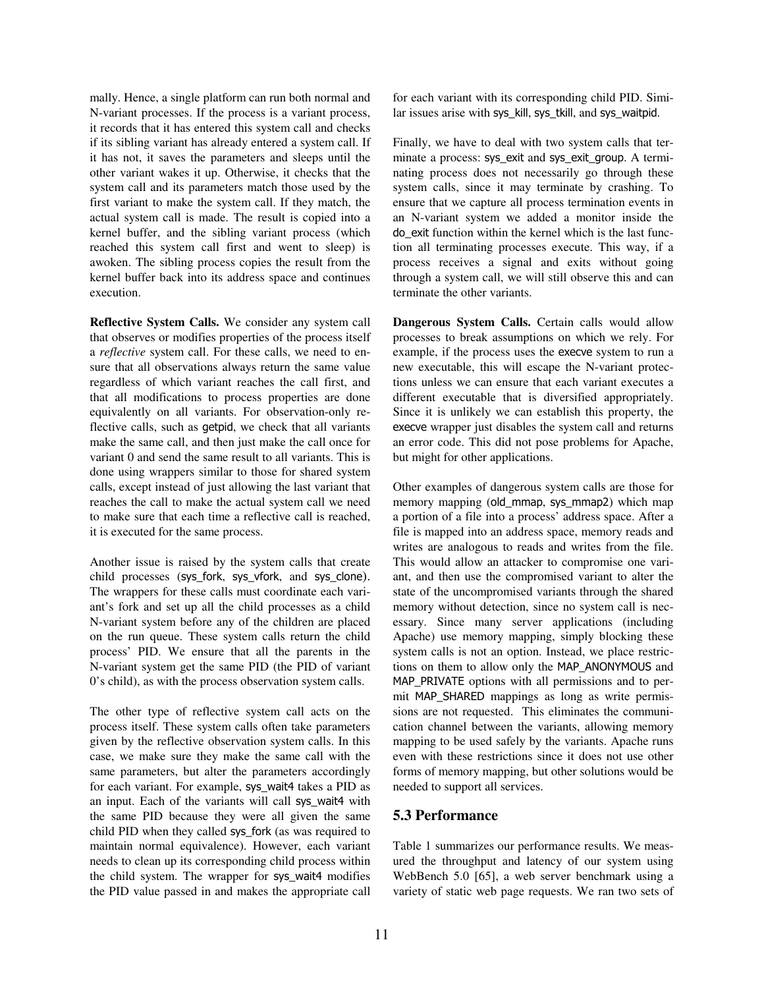mally. Hence, a single platform can run both normal and N-variant processes. If the process is a variant process, it records that it has entered this system call and checks if its sibling variant has already entered a system call. If it has not, it saves the parameters and sleeps until the other variant wakes it up. Otherwise, it checks that the system call and its parameters match those used by the first variant to make the system call. If they match, the actual system call is made. The result is copied into a kernel buffer, and the sibling variant process (which reached this system call first and went to sleep) is awoken. The sibling process copies the result from the kernel buffer back into its address space and continues execution.

**Reflective System Calls.** We consider any system call that observes or modifies properties of the process itself a *reflective* system call. For these calls, we need to ensure that all observations always return the same value regardless of which variant reaches the call first, and that all modifications to process properties are done equivalently on all variants. For observation-only reflective calls, such as getpid, we check that all variants make the same call, and then just make the call once for variant 0 and send the same result to all variants. This is done using wrappers similar to those for shared system calls, except instead of just allowing the last variant that reaches the call to make the actual system call we need to make sure that each time a reflective call is reached, it is executed for the same process.

Another issue is raised by the system calls that create child processes (sys\_fork, sys\_vfork, and sys\_clone). The wrappers for these calls must coordinate each variant's fork and set up all the child processes as a child N-variant system before any of the children are placed on the run queue. These system calls return the child process' PID. We ensure that all the parents in the N-variant system get the same PID (the PID of variant 0's child), as with the process observation system calls.

The other type of reflective system call acts on the process itself. These system calls often take parameters given by the reflective observation system calls. In this case, we make sure they make the same call with the same parameters, but alter the parameters accordingly for each variant. For example, sys\_wait4 takes a PID as an input. Each of the variants will call sys\_wait4 with the same PID because they were all given the same child PID when they called sys\_fork (as was required to maintain normal equivalence). However, each variant needs to clean up its corresponding child process within the child system. The wrapper for sys\_wait4 modifies the PID value passed in and makes the appropriate call for each variant with its corresponding child PID. Similar issues arise with sys\_kill, sys\_tkill, and sys\_waitpid.

Finally, we have to deal with two system calls that terminate a process: sys\_exit and sys\_exit\_group. A terminating process does not necessarily go through these system calls, since it may terminate by crashing. To ensure that we capture all process termination events in an N-variant system we added a monitor inside the do\_exit function within the kernel which is the last function all terminating processes execute. This way, if a process receives a signal and exits without going through a system call, we will still observe this and can terminate the other variants.

**Dangerous System Calls.** Certain calls would allow processes to break assumptions on which we rely. For example, if the process uses the execve system to run a new executable, this will escape the N-variant protections unless we can ensure that each variant executes a different executable that is diversified appropriately. Since it is unlikely we can establish this property, the execve wrapper just disables the system call and returns an error code. This did not pose problems for Apache, but might for other applications.

Other examples of dangerous system calls are those for memory mapping (old\_mmap, sys\_mmap2) which map a portion of a file into a process' address space. After a file is mapped into an address space, memory reads and writes are analogous to reads and writes from the file. This would allow an attacker to compromise one variant, and then use the compromised variant to alter the state of the uncompromised variants through the shared memory without detection, since no system call is necessary. Since many server applications (including Apache) use memory mapping, simply blocking these system calls is not an option. Instead, we place restrictions on them to allow only the MAP\_ANONYMOUS and MAP\_PRIVATE options with all permissions and to permit MAP\_SHARED mappings as long as write permissions are not requested. This eliminates the communication channel between the variants, allowing memory mapping to be used safely by the variants. Apache runs even with these restrictions since it does not use other forms of memory mapping, but other solutions would be needed to support all services.

#### **5.3 Performance**

Table 1 summarizes our performance results. We measured the throughput and latency of our system using WebBench 5.0 [65], a web server benchmark using a variety of static web page requests. We ran two sets of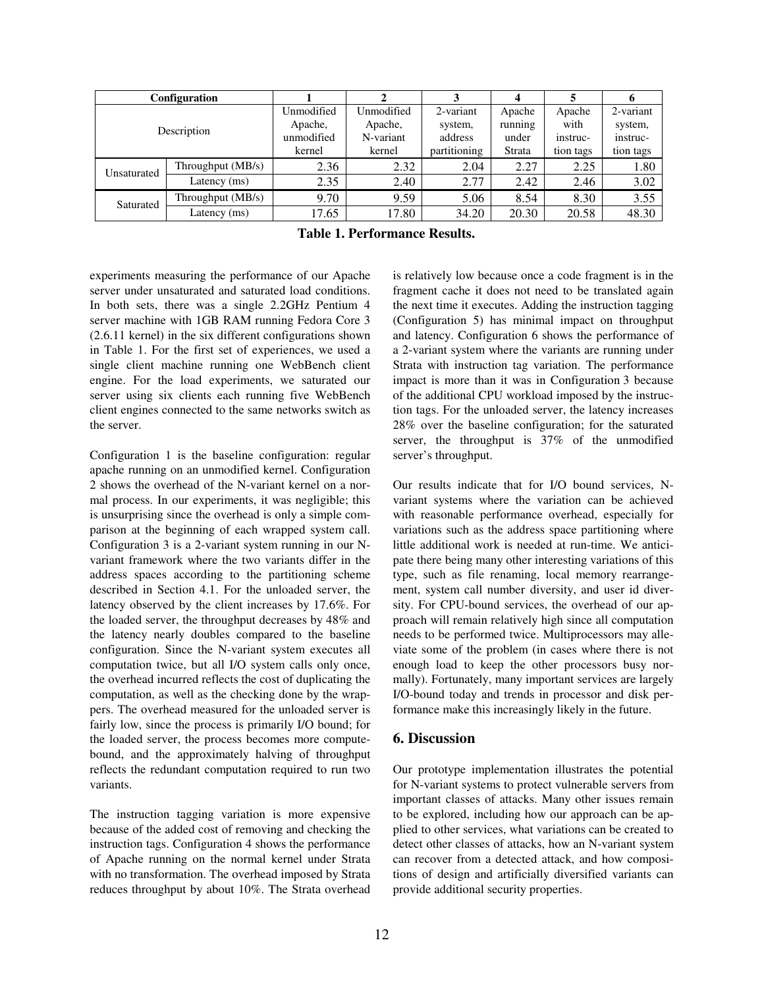| Configuration |                     |            |            |              |         |           |           |
|---------------|---------------------|------------|------------|--------------|---------|-----------|-----------|
| Description   |                     | Unmodified | Unmodified | 2-variant    | Apache  | Apache    | 2-variant |
|               |                     | Apache,    | Apache,    | system,      | running | with      | system,   |
|               |                     | unmodified | N-variant  | address      | under   | instruc-  | instruc-  |
|               |                     | kernel     | kernel     | partitioning | Strata  | tion tags | tion tags |
| Unsaturated   | Throughput $(MB/s)$ | 2.36       | 2.32       | 2.04         | 2.27    | 2.25      | 1.80      |
|               | Latency (ms)        | 2.35       | 2.40       | 2.77         | 2.42    | 2.46      | 3.02      |
| Saturated     | Throughput (MB/s)   | 9.70       | 9.59       | 5.06         | 8.54    | 8.30      | 3.55      |
|               | Latency (ms)        | 17.65      | 17.80      | 34.20        | 20.30   | 20.58     | 48.30     |

|  | Table 1. Performance Results. |
|--|-------------------------------|
|--|-------------------------------|

experiments measuring the performance of our Apache server under unsaturated and saturated load conditions. In both sets, there was a single 2.2GHz Pentium 4 server machine with 1GB RAM running Fedora Core 3 (2.6.11 kernel) in the six different configurations shown in Table 1. For the first set of experiences, we used a single client machine running one WebBench client engine. For the load experiments, we saturated our server using six clients each running five WebBench client engines connected to the same networks switch as the server.

Configuration 1 is the baseline configuration: regular apache running on an unmodified kernel. Configuration 2 shows the overhead of the N-variant kernel on a normal process. In our experiments, it was negligible; this is unsurprising since the overhead is only a simple comparison at the beginning of each wrapped system call. Configuration 3 is a 2-variant system running in our Nvariant framework where the two variants differ in the address spaces according to the partitioning scheme described in Section 4.1. For the unloaded server, the latency observed by the client increases by 17.6%. For the loaded server, the throughput decreases by 48% and the latency nearly doubles compared to the baseline configuration. Since the N-variant system executes all computation twice, but all I/O system calls only once, the overhead incurred reflects the cost of duplicating the computation, as well as the checking done by the wrappers. The overhead measured for the unloaded server is fairly low, since the process is primarily I/O bound; for the loaded server, the process becomes more computebound, and the approximately halving of throughput reflects the redundant computation required to run two variants.

The instruction tagging variation is more expensive because of the added cost of removing and checking the instruction tags. Configuration 4 shows the performance of Apache running on the normal kernel under Strata with no transformation. The overhead imposed by Strata reduces throughput by about 10%. The Strata overhead is relatively low because once a code fragment is in the fragment cache it does not need to be translated again the next time it executes. Adding the instruction tagging (Configuration 5) has minimal impact on throughput and latency. Configuration 6 shows the performance of a 2-variant system where the variants are running under Strata with instruction tag variation. The performance impact is more than it was in Configuration 3 because of the additional CPU workload imposed by the instruction tags. For the unloaded server, the latency increases 28% over the baseline configuration; for the saturated server, the throughput is 37% of the unmodified server's throughput.

Our results indicate that for I/O bound services, Nvariant systems where the variation can be achieved with reasonable performance overhead, especially for variations such as the address space partitioning where little additional work is needed at run-time. We anticipate there being many other interesting variations of this type, such as file renaming, local memory rearrangement, system call number diversity, and user id diversity. For CPU-bound services, the overhead of our approach will remain relatively high since all computation needs to be performed twice. Multiprocessors may alleviate some of the problem (in cases where there is not enough load to keep the other processors busy normally). Fortunately, many important services are largely I/O-bound today and trends in processor and disk performance make this increasingly likely in the future.

#### **6. Discussion**

Our prototype implementation illustrates the potential for N-variant systems to protect vulnerable servers from important classes of attacks. Many other issues remain to be explored, including how our approach can be applied to other services, what variations can be created to detect other classes of attacks, how an N-variant system can recover from a detected attack, and how compositions of design and artificially diversified variants can provide additional security properties.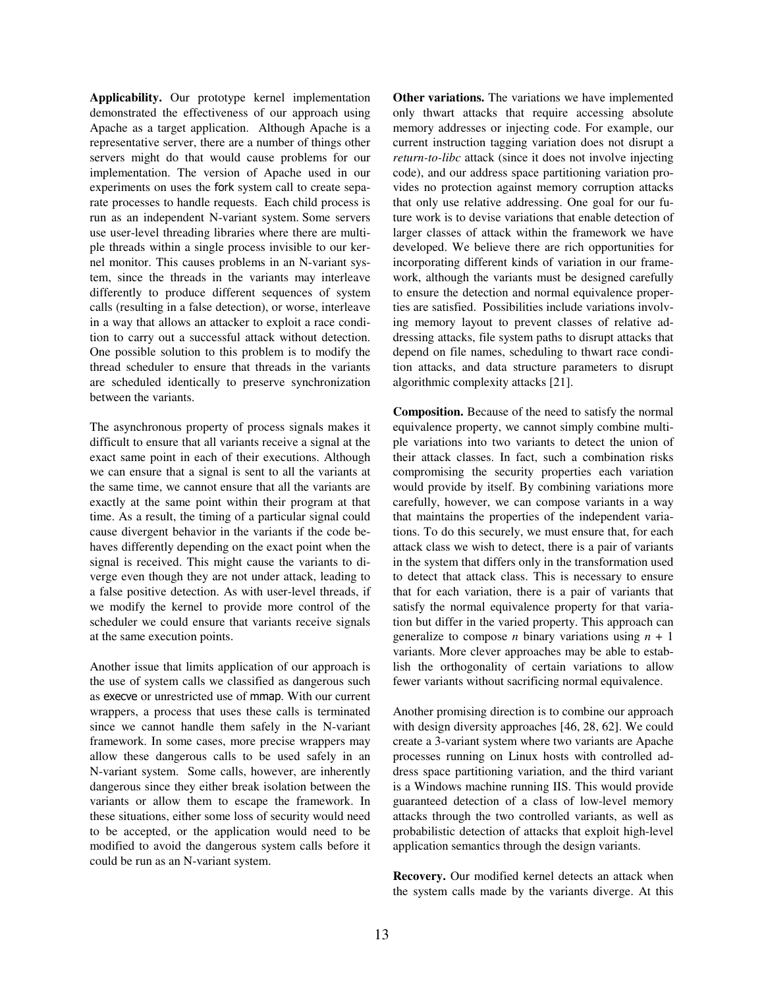**Applicability.** Our prototype kernel implementation demonstrated the effectiveness of our approach using Apache as a target application. Although Apache is a representative server, there are a number of things other servers might do that would cause problems for our implementation. The version of Apache used in our experiments on uses the fork system call to create separate processes to handle requests. Each child process is run as an independent N-variant system. Some servers use user-level threading libraries where there are multiple threads within a single process invisible to our kernel monitor. This causes problems in an N-variant system, since the threads in the variants may interleave differently to produce different sequences of system calls (resulting in a false detection), or worse, interleave in a way that allows an attacker to exploit a race condition to carry out a successful attack without detection. One possible solution to this problem is to modify the thread scheduler to ensure that threads in the variants are scheduled identically to preserve synchronization between the variants.

The asynchronous property of process signals makes it difficult to ensure that all variants receive a signal at the exact same point in each of their executions. Although we can ensure that a signal is sent to all the variants at the same time, we cannot ensure that all the variants are exactly at the same point within their program at that time. As a result, the timing of a particular signal could cause divergent behavior in the variants if the code behaves differently depending on the exact point when the signal is received. This might cause the variants to diverge even though they are not under attack, leading to a false positive detection. As with user-level threads, if we modify the kernel to provide more control of the scheduler we could ensure that variants receive signals at the same execution points.

Another issue that limits application of our approach is the use of system calls we classified as dangerous such as execve or unrestricted use of mmap. With our current wrappers, a process that uses these calls is terminated since we cannot handle them safely in the N-variant framework. In some cases, more precise wrappers may allow these dangerous calls to be used safely in an N-variant system. Some calls, however, are inherently dangerous since they either break isolation between the variants or allow them to escape the framework. In these situations, either some loss of security would need to be accepted, or the application would need to be modified to avoid the dangerous system calls before it could be run as an N-variant system.

**Other variations.** The variations we have implemented only thwart attacks that require accessing absolute memory addresses or injecting code. For example, our current instruction tagging variation does not disrupt a *return-to-libc* attack (since it does not involve injecting code), and our address space partitioning variation provides no protection against memory corruption attacks that only use relative addressing. One goal for our future work is to devise variations that enable detection of larger classes of attack within the framework we have developed. We believe there are rich opportunities for incorporating different kinds of variation in our framework, although the variants must be designed carefully to ensure the detection and normal equivalence properties are satisfied. Possibilities include variations involving memory layout to prevent classes of relative addressing attacks, file system paths to disrupt attacks that depend on file names, scheduling to thwart race condition attacks, and data structure parameters to disrupt algorithmic complexity attacks [21].

**Composition.** Because of the need to satisfy the normal equivalence property, we cannot simply combine multiple variations into two variants to detect the union of their attack classes. In fact, such a combination risks compromising the security properties each variation would provide by itself. By combining variations more carefully, however, we can compose variants in a way that maintains the properties of the independent variations. To do this securely, we must ensure that, for each attack class we wish to detect, there is a pair of variants in the system that differs only in the transformation used to detect that attack class. This is necessary to ensure that for each variation, there is a pair of variants that satisfy the normal equivalence property for that variation but differ in the varied property. This approach can generalize to compose *n* binary variations using  $n + 1$ variants. More clever approaches may be able to establish the orthogonality of certain variations to allow fewer variants without sacrificing normal equivalence.

Another promising direction is to combine our approach with design diversity approaches [46, 28, 62]. We could create a 3-variant system where two variants are Apache processes running on Linux hosts with controlled address space partitioning variation, and the third variant is a Windows machine running IIS. This would provide guaranteed detection of a class of low-level memory attacks through the two controlled variants, as well as probabilistic detection of attacks that exploit high-level application semantics through the design variants.

**Recovery.** Our modified kernel detects an attack when the system calls made by the variants diverge. At this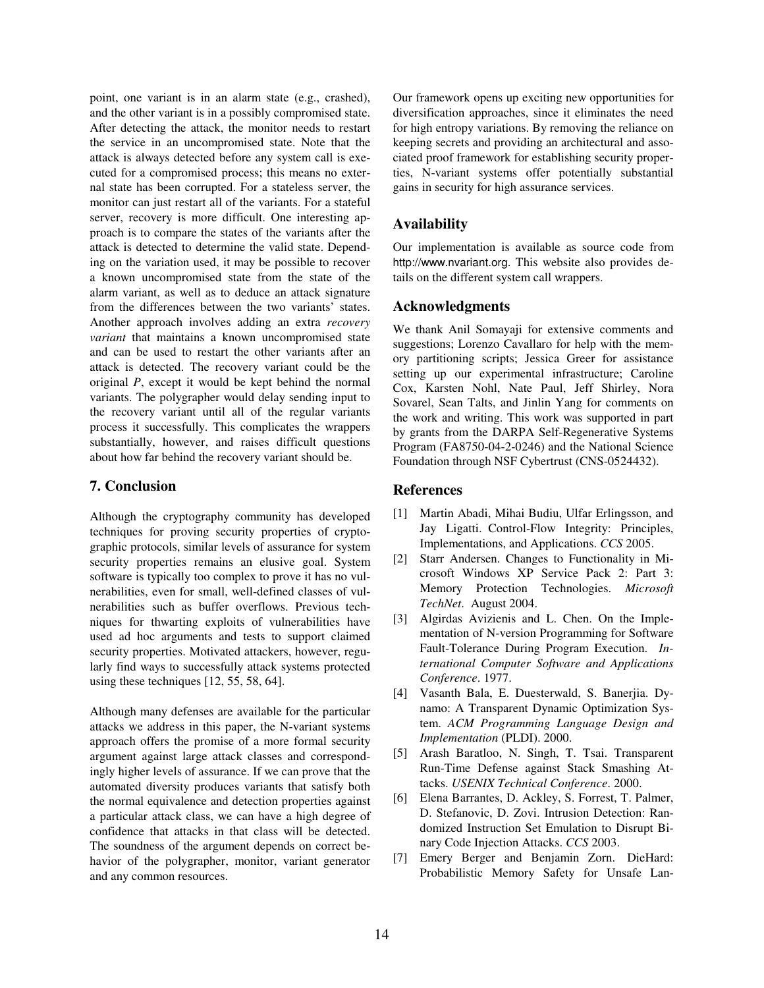point, one variant is in an alarm state (e.g., crashed), and the other variant is in a possibly compromised state. After detecting the attack, the monitor needs to restart the service in an uncompromised state. Note that the attack is always detected before any system call is executed for a compromised process; this means no external state has been corrupted. For a stateless server, the monitor can just restart all of the variants. For a stateful server, recovery is more difficult. One interesting approach is to compare the states of the variants after the attack is detected to determine the valid state. Depending on the variation used, it may be possible to recover a known uncompromised state from the state of the alarm variant, as well as to deduce an attack signature from the differences between the two variants' states. Another approach involves adding an extra *recovery variant* that maintains a known uncompromised state and can be used to restart the other variants after an attack is detected. The recovery variant could be the original *P*, except it would be kept behind the normal variants. The polygrapher would delay sending input to the recovery variant until all of the regular variants process it successfully. This complicates the wrappers substantially, however, and raises difficult questions about how far behind the recovery variant should be.

### **7. Conclusion**

Although the cryptography community has developed techniques for proving security properties of cryptographic protocols, similar levels of assurance for system security properties remains an elusive goal. System software is typically too complex to prove it has no vulnerabilities, even for small, well-defined classes of vulnerabilities such as buffer overflows. Previous techniques for thwarting exploits of vulnerabilities have used ad hoc arguments and tests to support claimed security properties. Motivated attackers, however, regularly find ways to successfully attack systems protected using these techniques [12, 55, 58, 64].

Although many defenses are available for the particular attacks we address in this paper, the N-variant systems approach offers the promise of a more formal security argument against large attack classes and correspondingly higher levels of assurance. If we can prove that the automated diversity produces variants that satisfy both the normal equivalence and detection properties against a particular attack class, we can have a high degree of confidence that attacks in that class will be detected. The soundness of the argument depends on correct behavior of the polygrapher, monitor, variant generator and any common resources.

Our framework opens up exciting new opportunities for diversification approaches, since it eliminates the need for high entropy variations. By removing the reliance on keeping secrets and providing an architectural and associated proof framework for establishing security properties, N-variant systems offer potentially substantial gains in security for high assurance services.

#### **Availability**

Our implementation is available as source code from http://www.nvariant.org. This website also provides details on the different system call wrappers.

#### **Acknowledgments**

We thank Anil Somayaji for extensive comments and suggestions; Lorenzo Cavallaro for help with the memory partitioning scripts; Jessica Greer for assistance setting up our experimental infrastructure; Caroline Cox, Karsten Nohl, Nate Paul, Jeff Shirley, Nora Sovarel, Sean Talts, and Jinlin Yang for comments on the work and writing. This work was supported in part by grants from the DARPA Self-Regenerative Systems Program (FA8750-04-2-0246) and the National Science Foundation through NSF Cybertrust (CNS-0524432).

#### **References**

- [1] Martin Abadi, Mihai Budiu, Ulfar Erlingsson, and Jay Ligatti. Control-Flow Integrity: Principles, Implementations, and Applications. *CCS* 2005.
- [2] Starr Andersen. Changes to Functionality in Microsoft Windows XP Service Pack 2: Part 3: Memory Protection Technologies. *Microsoft TechNet*. August 2004.
- [3] Algirdas Avizienis and L. Chen. On the Implementation of N-version Programming for Software Fault-Tolerance During Program Execution. *International Computer Software and Applications Conference*. 1977.
- [4] Vasanth Bala, E. Duesterwald, S. Banerjia. Dynamo: A Transparent Dynamic Optimization System. *ACM Programming Language Design and Implementation* (PLDI). 2000.
- [5] Arash Baratloo, N. Singh, T. Tsai. Transparent Run-Time Defense against Stack Smashing Attacks. *USENIX Technical Conference*. 2000.
- [6] Elena Barrantes, D. Ackley, S. Forrest, T. Palmer, D. Stefanovic, D. Zovi. Intrusion Detection: Randomized Instruction Set Emulation to Disrupt Binary Code Injection Attacks. *CCS* 2003.
- [7] Emery Berger and Benjamin Zorn. DieHard: Probabilistic Memory Safety for Unsafe Lan-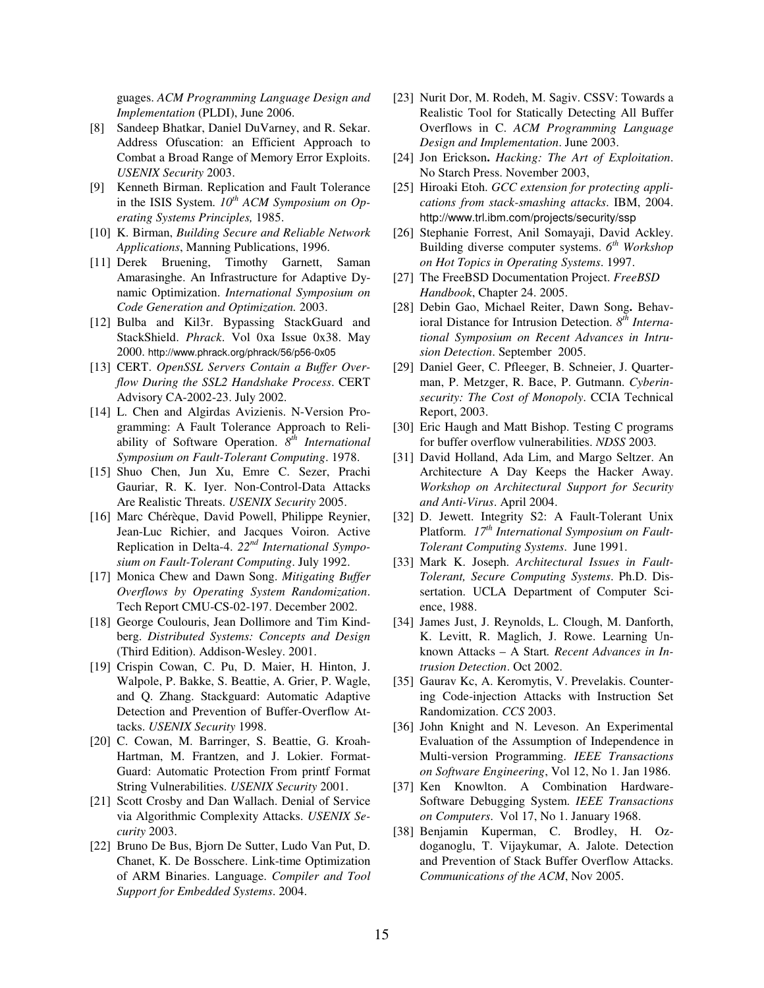guages. *ACM Programming Language Design and Implementation* (PLDI), June 2006.

- [8] Sandeep Bhatkar, Daniel DuVarney, and R. Sekar. Address Ofuscation: an Efficient Approach to Combat a Broad Range of Memory Error Exploits. *USENIX Security* 2003.
- [9] Kenneth Birman. Replication and Fault Tolerance in the ISIS System. *10th ACM Symposium on Operating Systems Principles,* 1985.
- [10] K. Birman, *Building Secure and Reliable Network Applications*, Manning Publications, 1996.
- [11] Derek Bruening, Timothy Garnett, Saman Amarasinghe. An Infrastructure for Adaptive Dynamic Optimization. *International Symposium on Code Generation and Optimization.* 2003.
- [12] Bulba and Kil3r. Bypassing StackGuard and StackShield. *Phrack*. Vol 0xa Issue 0x38. May 2000. http://www.phrack.org/phrack/56/p56-0x05
- [13] CERT. *OpenSSL Servers Contain a Buffer Overflow During the SSL2 Handshake Process*. CERT Advisory CA-2002-23. July 2002.
- [14] L. Chen and Algirdas Avizienis. N-Version Programming: A Fault Tolerance Approach to Reliability of Software Operation. *8 th International Symposium on Fault-Tolerant Computing*. 1978.
- [15] Shuo Chen, Jun Xu, Emre C. Sezer, Prachi Gauriar, R. K. Iyer. Non-Control-Data Attacks Are Realistic Threats. *USENIX Security* 2005.
- [16] Marc Chérèque, David Powell, Philippe Reynier, Jean-Luc Richier, and Jacques Voiron. Active Replication in Delta-4. *22nd International Symposium on Fault-Tolerant Computing*. July 1992.
- [17] Monica Chew and Dawn Song. *Mitigating Buffer Overflows by Operating System Randomization*. Tech Report CMU-CS-02-197. December 2002.
- [18] George Coulouris, Jean Dollimore and Tim Kindberg. *Distributed Systems: Concepts and Design* (Third Edition). Addison-Wesley. 2001.
- [19] Crispin Cowan, C. Pu, D. Maier, H. Hinton, J. Walpole, P. Bakke, S. Beattie, A. Grier, P. Wagle, and Q. Zhang. Stackguard: Automatic Adaptive Detection and Prevention of Buffer-Overflow Attacks. *USENIX Security* 1998.
- [20] C. Cowan, M. Barringer, S. Beattie, G. Kroah-Hartman, M. Frantzen, and J. Lokier. Format-Guard: Automatic Protection From printf Format String Vulnerabilities. *USENIX Security* 2001.
- [21] Scott Crosby and Dan Wallach. Denial of Service via Algorithmic Complexity Attacks. *USENIX Security* 2003.
- [22] Bruno De Bus, Bjorn De Sutter, Ludo Van Put, D. Chanet, K. De Bosschere. Link-time Optimization of ARM Binaries. Language. *Compiler and Tool Support for Embedded Systems*. 2004.
- [23] Nurit Dor, M. Rodeh, M. Sagiv. CSSV: Towards a Realistic Tool for Statically Detecting All Buffer Overflows in C. *ACM Programming Language Design and Implementation*. June 2003.
- [24]Jon Erickson**.** *Hacking: The Art of Exploitation*. No Starch Press. November 2003,
- [25] Hiroaki Etoh. *GCC extension for protecting appli cations from stack-smashing attacks*. IBM, 2004. http://www.trl.ibm.com/projects/security/ssp
- [26] Stephanie Forrest, Anil Somayaji, David Ackley. Building diverse computer systems. *6 th Workshop on Hot Topics in Operating Systems*. 1997.
- [27] The FreeBSD Documentation Project. *FreeBSD Handbook*, Chapter 24. 2005.
- [28] Debin Gao, Michael Reiter, Dawn Song**.** Behavioral Distance for Intrusion Detection.  $8<sup>th</sup> Interna$ *tional Symposium on Recent Advances in Intrusion Detection*. September 2005.
- [29] Daniel Geer, C. Pfleeger, B. Schneier, J. Quarterman, P. Metzger, R. Bace, P. Gutmann. *Cyberinsecurity: The Cost of Monopoly*. CCIA Technical Report, 2003.
- [30] Eric Haugh and Matt Bishop. Testing C programs for buffer overflow vulnerabilities. *NDSS* 2003*.*
- [31] David Holland, Ada Lim, and Margo Seltzer. An Architecture A Day Keeps the Hacker Away. *Workshop on Architectural Support for Security and Anti-Virus*. April 2004.
- [32] D. Jewett. Integrity S2: A Fault-Tolerant Unix Platform. *17th International Symposium on Fault-Tolerant Computing Systems*. June 1991.
- [33] Mark K. Joseph. *Architectural Issues in Fault-Tolerant, Secure Computing Systems*. Ph.D. Dissertation. UCLA Department of Computer Science, 1988.
- [34] James Just, J. Reynolds, L. Clough, M. Danforth, K. Levitt, R. Maglich, J. Rowe. Learning Unknown Attacks – A Start*. Recent Advances in Intrusion Detection*. Oct 2002.
- [35] Gaurav Kc, A. Keromytis, V. Prevelakis. Countering Code-injection Attacks with Instruction Set Randomization. *CCS* 2003.
- [36] John Knight and N. Leveson. An Experimental Evaluation of the Assumption of Independence in Multi-version Programming. *IEEE Transactions on Software Engineering*, Vol 12, No 1. Jan 1986.
- [37] Ken Knowlton. A Combination Hardware-Software Debugging System. *IEEE Transactions on Computers*. Vol 17, No 1. January 1968.
- [38] Benjamin Kuperman, C. Brodley, H. Ozdoganoglu, T. Vijaykumar, A. Jalote. Detection and Prevention of Stack Buffer Overflow Attacks. *Communications of the ACM*, Nov 2005.